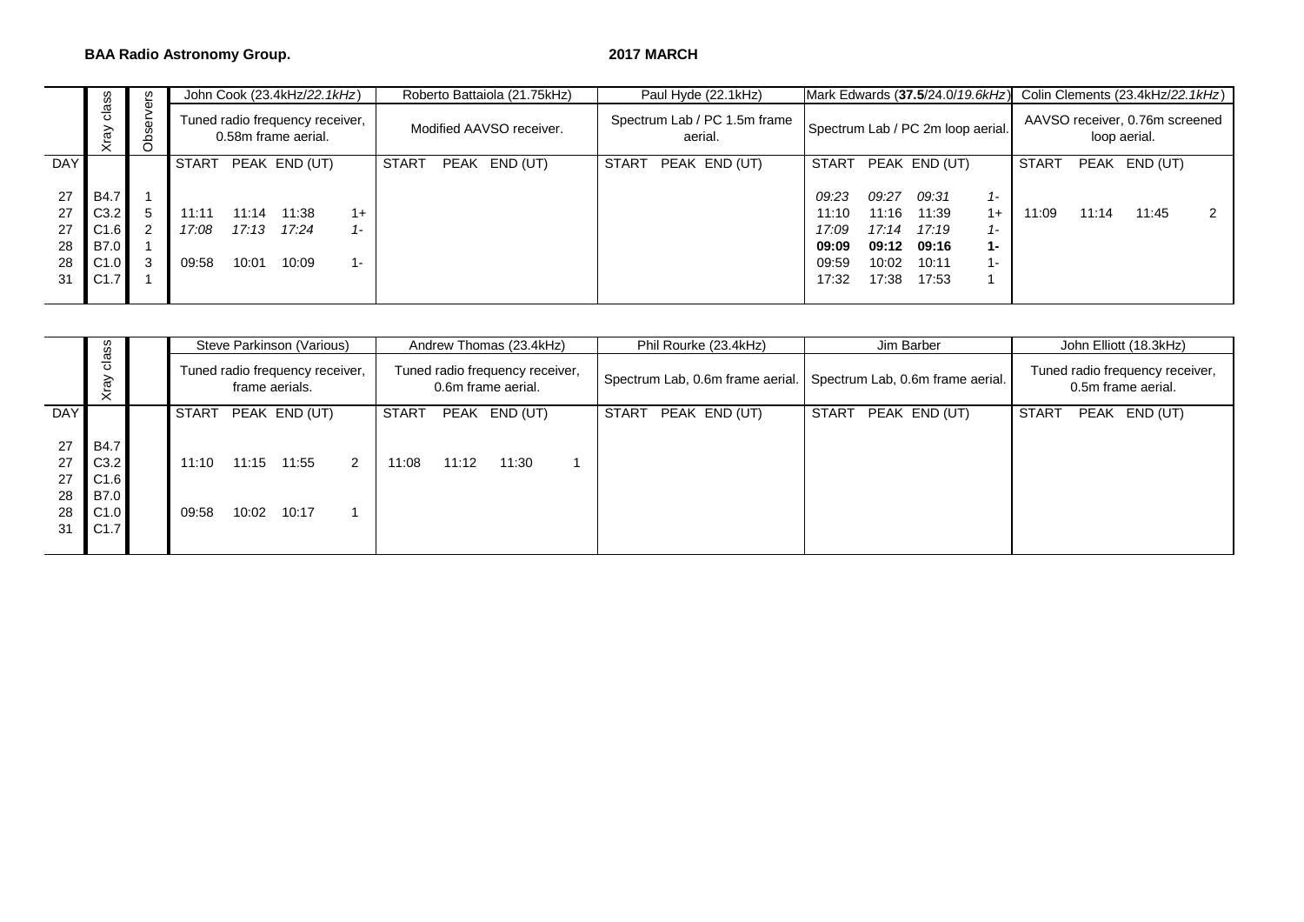### **BAA Radio Astronomy Group.** 2017 MARCH

|                                  |                                                                 | ഗ       |                         |                         | John Cook (23.4kHz/22.1kHz)                            |                        |              | Roberto Battaiola (21.75kHz) |              | Paul Hyde (22.1kHz)                     |                                                    |                                                    | Mark Edwards (37.5/24.0/19.6kHz)                   |                                     | Colin Clements (23.4kHz/22.1kHz)               |       |               |  |  |
|----------------------------------|-----------------------------------------------------------------|---------|-------------------------|-------------------------|--------------------------------------------------------|------------------------|--------------|------------------------------|--------------|-----------------------------------------|----------------------------------------------------|----------------------------------------------------|----------------------------------------------------|-------------------------------------|------------------------------------------------|-------|---------------|--|--|
|                                  | Φ<br>굥<br>Φ<br>S<br>₽                                           |         |                         |                         | Tuned radio frequency receiver,<br>0.58m frame aerial. |                        |              | Modified AAVSO receiver.     |              | Spectrum Lab / PC 1.5m frame<br>aerial. |                                                    |                                                    | Spectrum Lab / PC 2m loop aerial.                  |                                     | AAVSO receiver, 0.76m screened<br>loop aerial. |       |               |  |  |
| <b>DAY</b>                       |                                                                 |         | START                   |                         | PEAK END (UT)                                          |                        | <b>START</b> | PEAK END (UT)                | <b>START</b> | PEAK END (UT)                           | START                                              |                                                    | PEAK END (UT)                                      |                                     | START                                          |       | PEAK END (UT) |  |  |
| 27<br>27<br>27<br>28<br>28<br>31 | <b>B4.7</b><br>C3.2<br>C1.6<br>B7.0<br>C <sub>1.0</sub><br>C1.7 | 2<br>-3 | 11:11<br>17:08<br>09:58 | 11:14<br>17:13<br>10:01 | 11:38<br>17:24<br>10:09                                | $1+$<br>$1 -$<br>$1 -$ |              |                              |              |                                         | 09:23<br>11:10<br>17:09<br>09:09<br>09:59<br>17:32 | 09:27<br>11:16<br>17:14<br>09:12<br>10:02<br>17:38 | 09:31<br>11:39<br>17:19<br>09:16<br>10:11<br>17:53 | $1 -$<br>$1+$<br>$1 -$<br>1-<br>. . | 11:09                                          | 11:14 | 11:45         |  |  |

|                                  | w<br>w                                                     |                |                | Steve Parkinson (Various)                         |   |       |       | Andrew Thomas (23.4kHz)                               |              | Phil Rourke (23.4kHz) |              | Jim Barber                                                        | John Elliott (18.3kHz)                                |  |               |  |  |
|----------------------------------|------------------------------------------------------------|----------------|----------------|---------------------------------------------------|---|-------|-------|-------------------------------------------------------|--------------|-----------------------|--------------|-------------------------------------------------------------------|-------------------------------------------------------|--|---------------|--|--|
|                                  | $\frac{\ddot{a}}{c}$<br>Xray                               |                |                | Tuned radio frequency receiver,<br>frame aerials. |   |       |       | Tuned radio frequency receiver,<br>0.6m frame aerial. |              |                       |              | Spectrum Lab, 0.6m frame aerial. Spectrum Lab, 0.6m frame aerial. | Tuned radio frequency receiver,<br>0.5m frame aerial. |  |               |  |  |
| <b>DAY</b>                       |                                                            | START          |                | PEAK END (UT)                                     |   | START |       | PEAK END (UT)                                         | <b>START</b> | PEAK END (UT)         | <b>START</b> | PEAK END (UT)                                                     | <b>START</b>                                          |  | PEAK END (UT) |  |  |
| 27<br>27<br>27<br>28<br>28<br>31 | <b>B4.7</b><br>C3.2<br>C1.6<br><b>B7.0</b><br>C1.0<br>C1.7 | 11:10<br>09:58 | 11:15<br>10:02 | 11:55<br>10:17                                    | 2 | 11:08 | 11:12 | 11:30                                                 |              |                       |              |                                                                   |                                                       |  |               |  |  |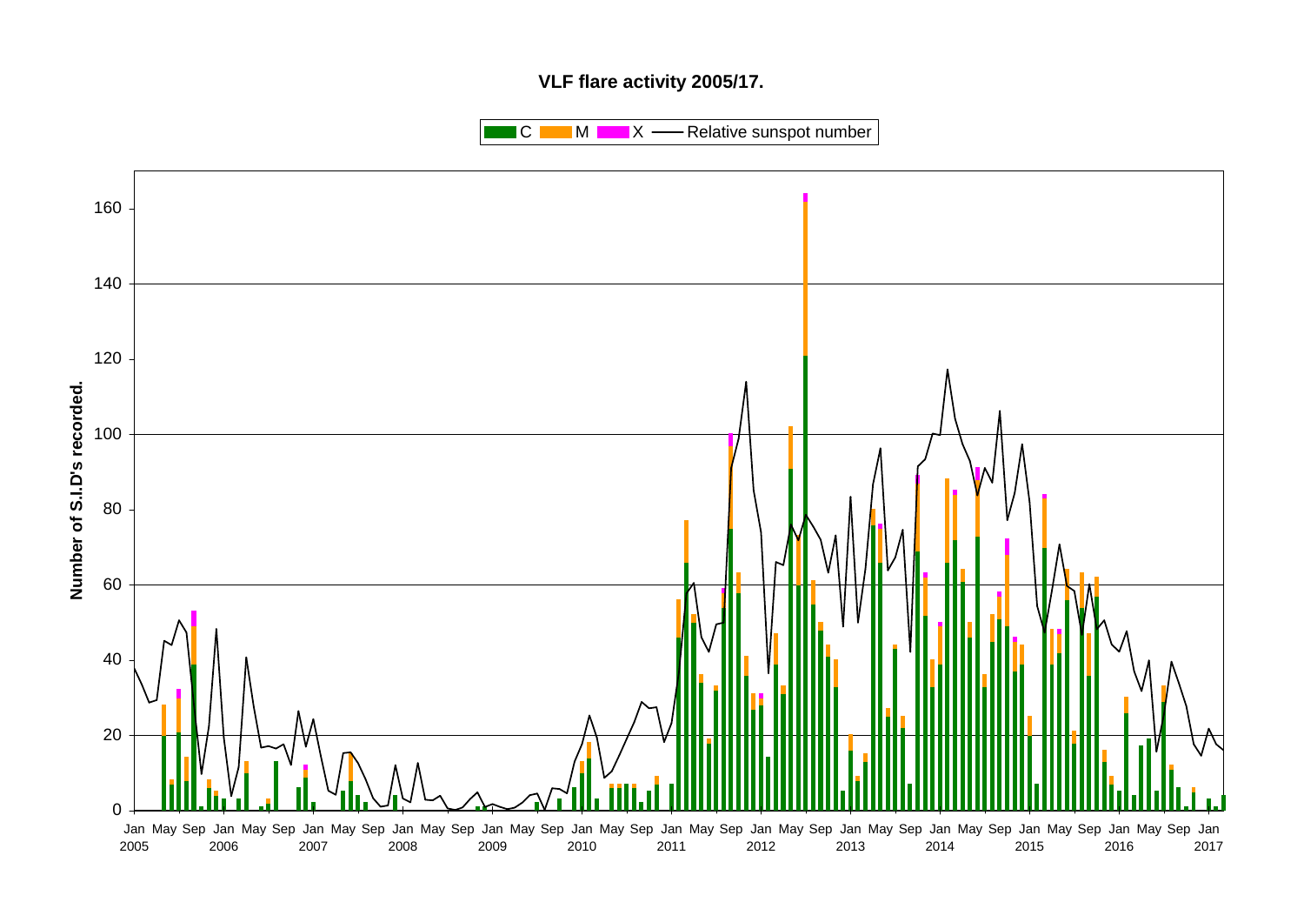# **VLF flare activity 2005/17.**

 $\blacksquare$  C  $\blacksquare$  M  $\blacksquare$   $\blacksquare$  X  $\blacksquare$  Relative sunspot number

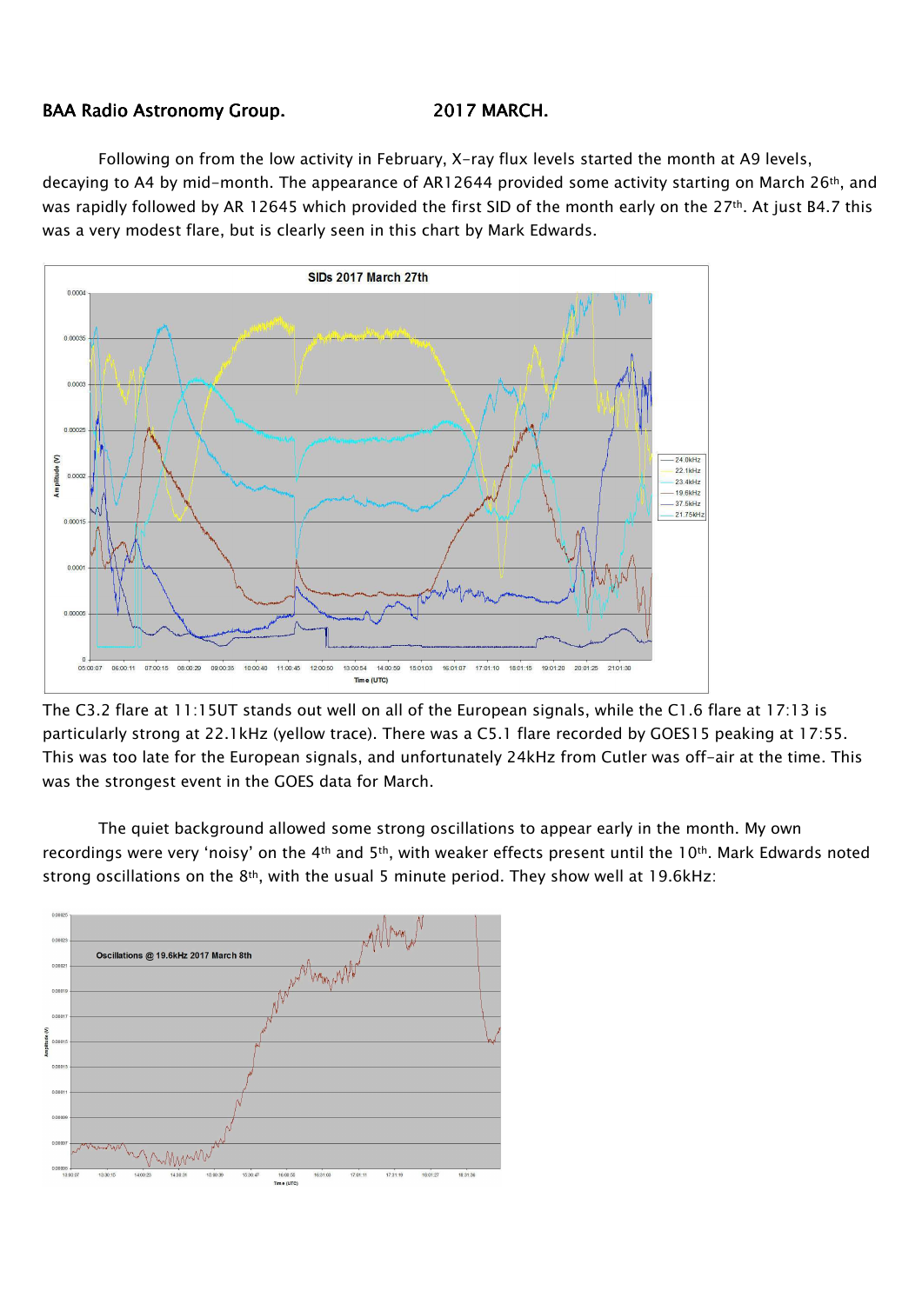## BAA Radio Astronomy Group. 2017 MARCH.

Following on from the low activity in February, X-ray flux levels started the month at A9 levels, decaying to A4 by mid-month. The appearance of AR12644 provided some activity starting on March 26<sup>th</sup>, and was rapidly followed by AR 12645 which provided the first SID of the month early on the 27<sup>th</sup>. At just B4.7 this was a very modest flare, but is clearly seen in this chart by Mark Edwards.



The C3.2 flare at 11:15UT stands out well on all of the European signals, while the C1.6 flare at 17:13 is particularly strong at 22.1kHz (yellow trace). There was a C5.1 flare recorded by GOES15 peaking at 17:55. This was too late for the European signals, and unfortunately 24kHz from Cutler was off-air at the time. This was the strongest event in the GOES data for March.

The quiet background allowed some strong oscillations to appear early in the month. My own recordings were very 'noisy' on the 4<sup>th</sup> and 5<sup>th</sup>, with weaker effects present until the 10<sup>th</sup>. Mark Edwards noted strong oscillations on the  $8<sup>th</sup>$ , with the usual 5 minute period. They show well at 19.6kHz:

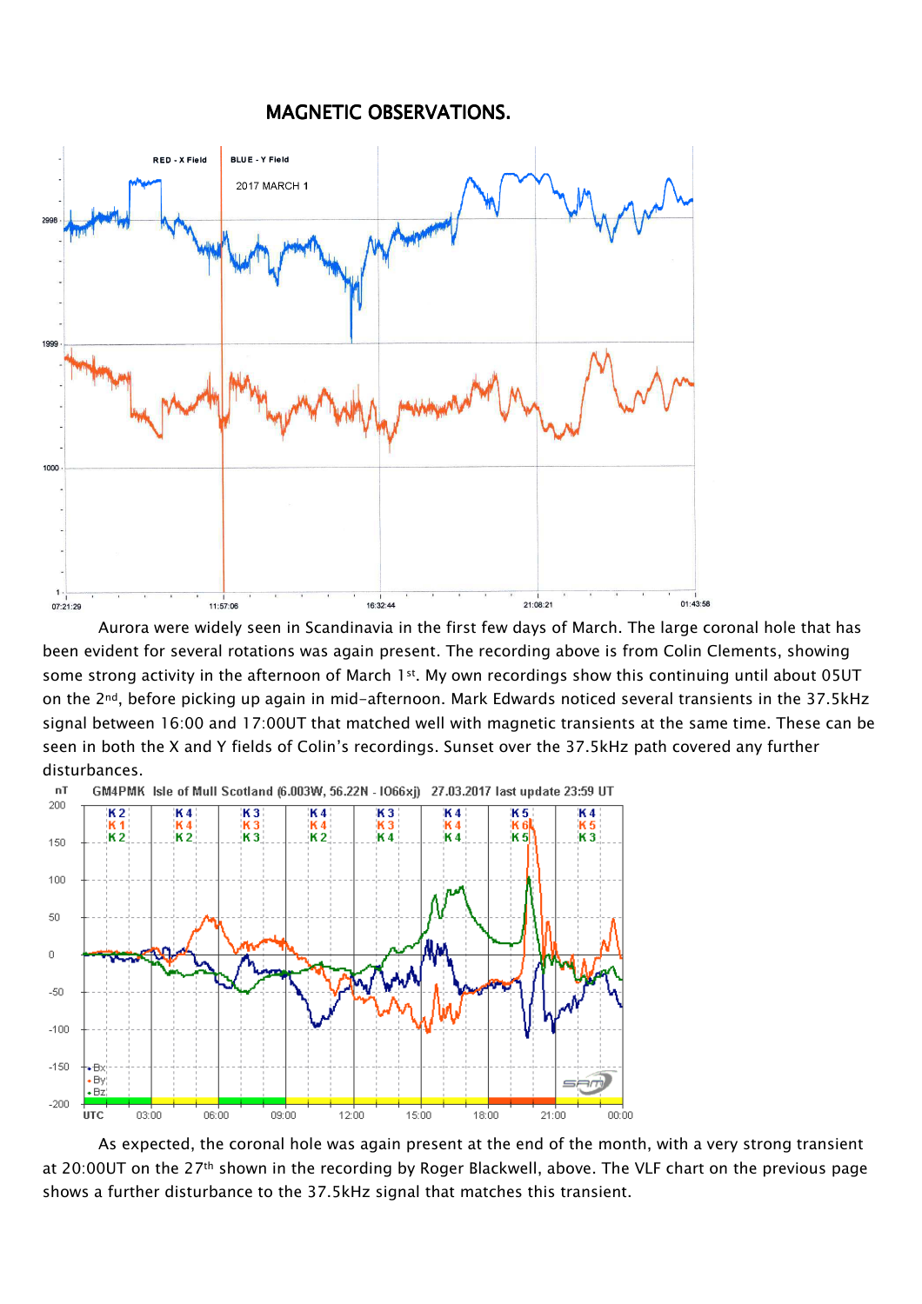## MAGNETIC OBSERVATIONS.



Aurora were widely seen in Scandinavia in the first few days of March. The large coronal hole that has been evident for several rotations was again present. The recording above is from Colin Clements, showing some strong activity in the afternoon of March 1<sup>st</sup>. My own recordings show this continuing until about 05UT on the 2nd, before picking up again in mid-afternoon. Mark Edwards noticed several transients in the 37.5kHz signal between 16:00 and 17:00UT that matched well with magnetic transients at the same time. These can be seen in both the X and Y fields of Colin's recordings. Sunset over the 37.5kHz path covered any further disturbances.



As expected, the coronal hole was again present at the end of the month, with a very strong transient at 20:00UT on the 27<sup>th</sup> shown in the recording by Roger Blackwell, above. The VLF chart on the previous page shows a further disturbance to the 37.5kHz signal that matches this transient.